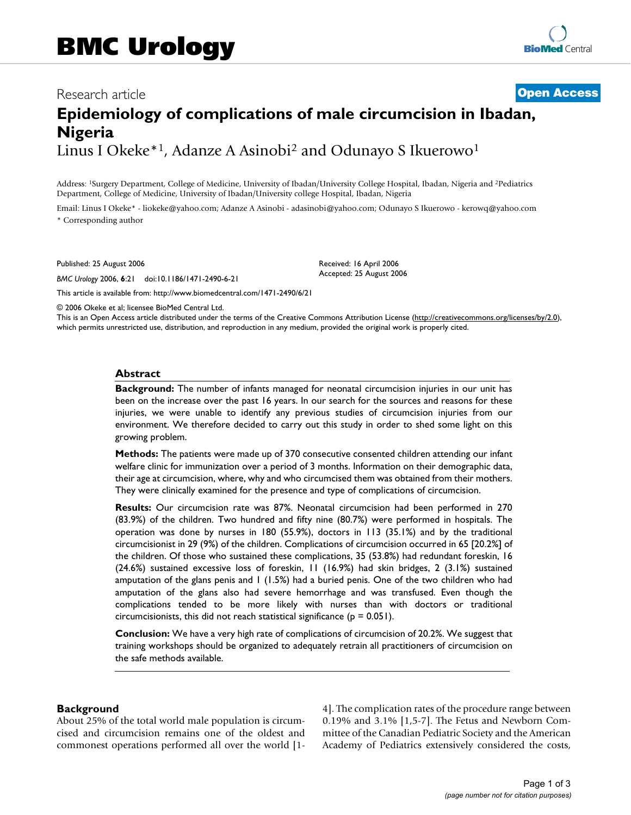## Research article **[Open Access](http://www.biomedcentral.com/info/about/charter/)**

# **Epidemiology of complications of male circumcision in Ibadan, Nigeria** Linus I Okeke<sup>\*1</sup>, Adanze A Asinobi<sup>2</sup> and Odunayo S Ikuerowo<sup>1</sup>

Address: 1Surgery Department, College of Medicine, University of Ibadan/University College Hospital, Ibadan, Nigeria and 2Pediatrics Department, College of Medicine, University of Ibadan/University college Hospital, Ibadan, Nigeria

Email: Linus I Okeke\* - liokeke@yahoo.com; Adanze A Asinobi - adasinobi@yahoo.com; Odunayo S Ikuerowo - kerowq@yahoo.com \* Corresponding author

Published: 25 August 2006

*BMC Urology* 2006, **6**:21 doi:10.1186/1471-2490-6-21

Received: 16 April 2006 Accepted: 25 August 2006

© 2006 Okeke et al; licensee BioMed Central Ltd.

[This article is available from: http://www.biomedcentral.com/1471-2490/6/21](http://www.biomedcentral.com/1471-2490/6/21)

This is an Open Access article distributed under the terms of the Creative Commons Attribution License [\(http://creativecommons.org/licenses/by/2.0\)](http://creativecommons.org/licenses/by/2.0), which permits unrestricted use, distribution, and reproduction in any medium, provided the original work is properly cited.

#### **Abstract**

**Background:** The number of infants managed for neonatal circumcision injuries in our unit has been on the increase over the past 16 years. In our search for the sources and reasons for these injuries, we were unable to identify any previous studies of circumcision injuries from our environment. We therefore decided to carry out this study in order to shed some light on this growing problem.

**Methods:** The patients were made up of 370 consecutive consented children attending our infant welfare clinic for immunization over a period of 3 months. Information on their demographic data, their age at circumcision, where, why and who circumcised them was obtained from their mothers. They were clinically examined for the presence and type of complications of circumcision.

**Results:** Our circumcision rate was 87%. Neonatal circumcision had been performed in 270 (83.9%) of the children. Two hundred and fifty nine (80.7%) were performed in hospitals. The operation was done by nurses in 180 (55.9%), doctors in 113 (35.1%) and by the traditional circumcisionist in 29 (9%) of the children. Complications of circumcision occurred in 65 [20.2%] of the children. Of those who sustained these complications, 35 (53.8%) had redundant foreskin, 16 (24.6%) sustained excessive loss of foreskin, 11 (16.9%) had skin bridges, 2 (3.1%) sustained amputation of the glans penis and 1 (1.5%) had a buried penis. One of the two children who had amputation of the glans also had severe hemorrhage and was transfused. Even though the complications tended to be more likely with nurses than with doctors or traditional circumcisionists, this did not reach statistical significance ( $p = 0.051$ ).

**Conclusion:** We have a very high rate of complications of circumcision of 20.2%. We suggest that training workshops should be organized to adequately retrain all practitioners of circumcision on the safe methods available.

#### **Background**

About 25% of the total world male population is circumcised and circumcision remains one of the oldest and commonest operations performed all over the world [14]. The complication rates of the procedure range between 0.19% and 3.1% [1,5-7]. The Fetus and Newborn Committee of the Canadian Pediatric Society and the American Academy of Pediatrics extensively considered the costs,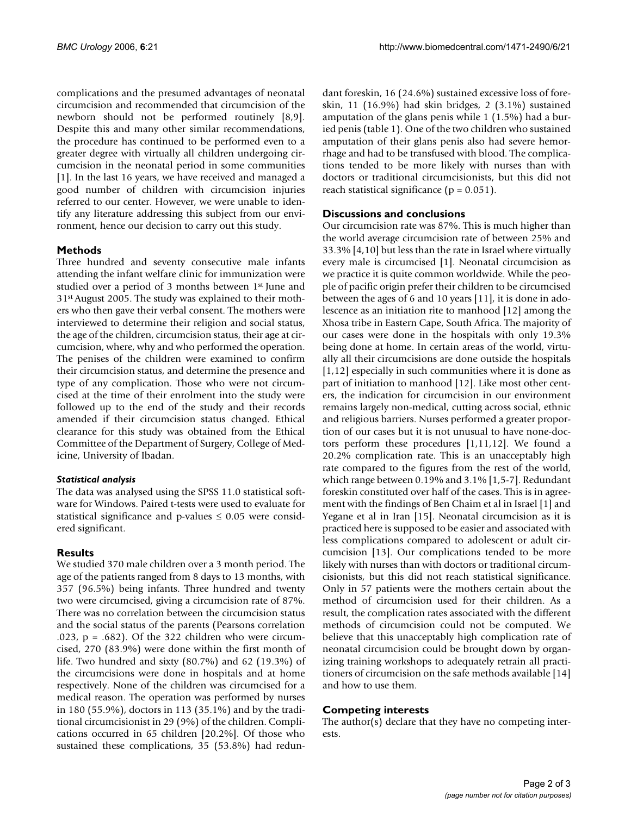complications and the presumed advantages of neonatal circumcision and recommended that circumcision of the newborn should not be performed routinely [8,9]. Despite this and many other similar recommendations, the procedure has continued to be performed even to a greater degree with virtually all children undergoing circumcision in the neonatal period in some communities [1]. In the last 16 years, we have received and managed a good number of children with circumcision injuries referred to our center. However, we were unable to identify any literature addressing this subject from our environment, hence our decision to carry out this study.

### **Methods**

Three hundred and seventy consecutive male infants attending the infant welfare clinic for immunization were studied over a period of 3 months between 1<sup>st</sup> June and 31st August 2005. The study was explained to their mothers who then gave their verbal consent. The mothers were interviewed to determine their religion and social status, the age of the children, circumcision status, their age at circumcision, where, why and who performed the operation. The penises of the children were examined to confirm their circumcision status, and determine the presence and type of any complication. Those who were not circumcised at the time of their enrolment into the study were followed up to the end of the study and their records amended if their circumcision status changed. Ethical clearance for this study was obtained from the Ethical Committee of the Department of Surgery, College of Medicine, University of Ibadan.

#### *Statistical analysis*

The data was analysed using the SPSS 11.0 statistical software for Windows. Paired t-tests were used to evaluate for statistical significance and p-values  $\leq 0.05$  were considered significant.

## **Results**

We studied 370 male children over a 3 month period. The age of the patients ranged from 8 days to 13 months, with 357 (96.5%) being infants. Three hundred and twenty two were circumcised, giving a circumcision rate of 87%. There was no correlation between the circumcision status and the social status of the parents (Pearsons correlation .023, p = .682). Of the 322 children who were circumcised, 270 (83.9%) were done within the first month of life. Two hundred and sixty (80.7%) and 62 (19.3%) of the circumcisions were done in hospitals and at home respectively. None of the children was circumcised for a medical reason. The operation was performed by nurses in 180 (55.9%), doctors in 113 (35.1%) and by the traditional circumcisionist in 29 (9%) of the children. Complications occurred in 65 children [20.2%]. Of those who sustained these complications, 35 (53.8%) had redundant foreskin, 16 (24.6%) sustained excessive loss of foreskin, 11 (16.9%) had skin bridges, 2 (3.1%) sustained amputation of the glans penis while 1 (1.5%) had a buried penis (table 1). One of the two children who sustained amputation of their glans penis also had severe hemorrhage and had to be transfused with blood. The complications tended to be more likely with nurses than with doctors or traditional circumcisionists, but this did not reach statistical significance ( $p = 0.051$ ).

## **Discussions and conclusions**

Our circumcision rate was 87%. This is much higher than the world average circumcision rate of between 25% and 33.3% [4,10] but less than the rate in Israel where virtually every male is circumcised [1]. Neonatal circumcision as we practice it is quite common worldwide. While the people of pacific origin prefer their children to be circumcised between the ages of 6 and 10 years [11], it is done in adolescence as an initiation rite to manhood [12] among the Xhosa tribe in Eastern Cape, South Africa. The majority of our cases were done in the hospitals with only 19.3% being done at home. In certain areas of the world, virtually all their circumcisions are done outside the hospitals [1,12] especially in such communities where it is done as part of initiation to manhood [12]. Like most other centers, the indication for circumcision in our environment remains largely non-medical, cutting across social, ethnic and religious barriers. Nurses performed a greater proportion of our cases but it is not unusual to have none-doctors perform these procedures [1,11,12]. We found a 20.2% complication rate. This is an unacceptably high rate compared to the figures from the rest of the world, which range between 0.19% and 3.1% [1,5-7]. Redundant foreskin constituted over half of the cases. This is in agreement with the findings of Ben Chaim et al in Israel [1] and Yegane et al in Iran [15]. Neonatal circumcision as it is practiced here is supposed to be easier and associated with less complications compared to adolescent or adult circumcision [13]. Our complications tended to be more likely with nurses than with doctors or traditional circumcisionists, but this did not reach statistical significance. Only in 57 patients were the mothers certain about the method of circumcision used for their children. As a result, the complication rates associated with the different methods of circumcision could not be computed. We believe that this unacceptably high complication rate of neonatal circumcision could be brought down by organizing training workshops to adequately retrain all practitioners of circumcision on the safe methods available [14] and how to use them.

## **Competing interests**

The author(s) declare that they have no competing interests.